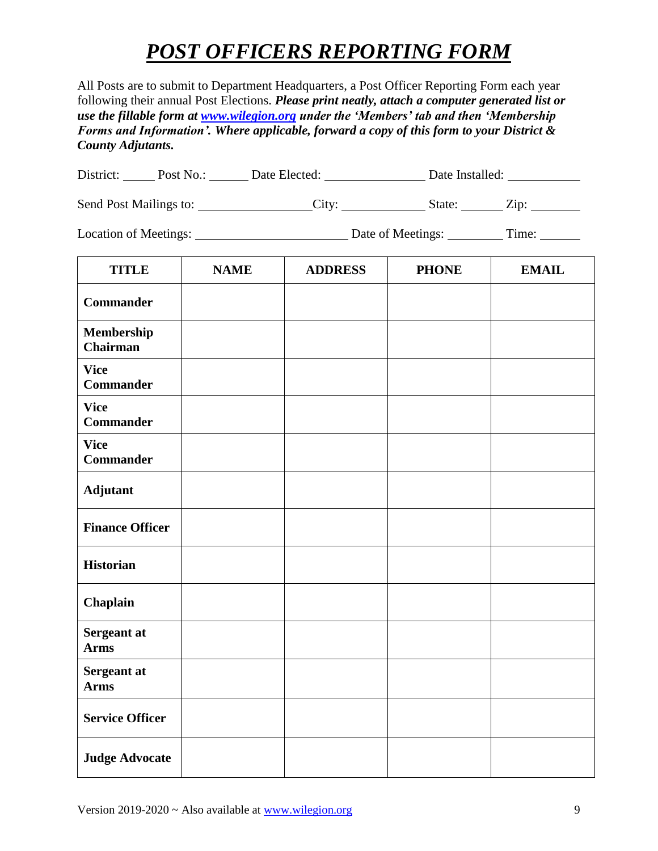#### *POST OFFICERS REPORTING FORM*

All Posts are to submit to Department Headquarters, a Post Officer Reporting Form each year following their annual Post Elections. *Please print neatly, attach a computer generated list or use the fillable form at [www.wilegion.org](http://www.wilegion.org/) under the 'Members' tab and then 'Membership Forms and Information'. Where applicable, forward a copy of this form to your District & County Adjutants.*

| District: | Post No.: | Date Elected: | Date Installed: |
|-----------|-----------|---------------|-----------------|
|-----------|-----------|---------------|-----------------|

Send Post Mailings to: \_\_\_\_\_\_\_\_\_\_\_\_\_\_\_City: \_\_\_\_\_\_\_\_\_\_\_\_State: \_\_\_\_\_\_Zip: \_\_\_\_\_\_\_

Location of Meetings: Date of Meetings: Time:

| <b>TITLE</b>                    | <b>NAME</b> | <b>ADDRESS</b> | <b>PHONE</b> | <b>EMAIL</b> |
|---------------------------------|-------------|----------------|--------------|--------------|
| <b>Commander</b>                |             |                |              |              |
| Membership<br><b>Chairman</b>   |             |                |              |              |
| <b>Vice</b><br><b>Commander</b> |             |                |              |              |
| <b>Vice</b><br><b>Commander</b> |             |                |              |              |
| <b>Vice</b><br><b>Commander</b> |             |                |              |              |
| <b>Adjutant</b>                 |             |                |              |              |
| <b>Finance Officer</b>          |             |                |              |              |
| <b>Historian</b>                |             |                |              |              |
| Chaplain                        |             |                |              |              |
| Sergeant at<br><b>Arms</b>      |             |                |              |              |
| Sergeant at<br><b>Arms</b>      |             |                |              |              |
| <b>Service Officer</b>          |             |                |              |              |
| <b>Judge Advocate</b>           |             |                |              |              |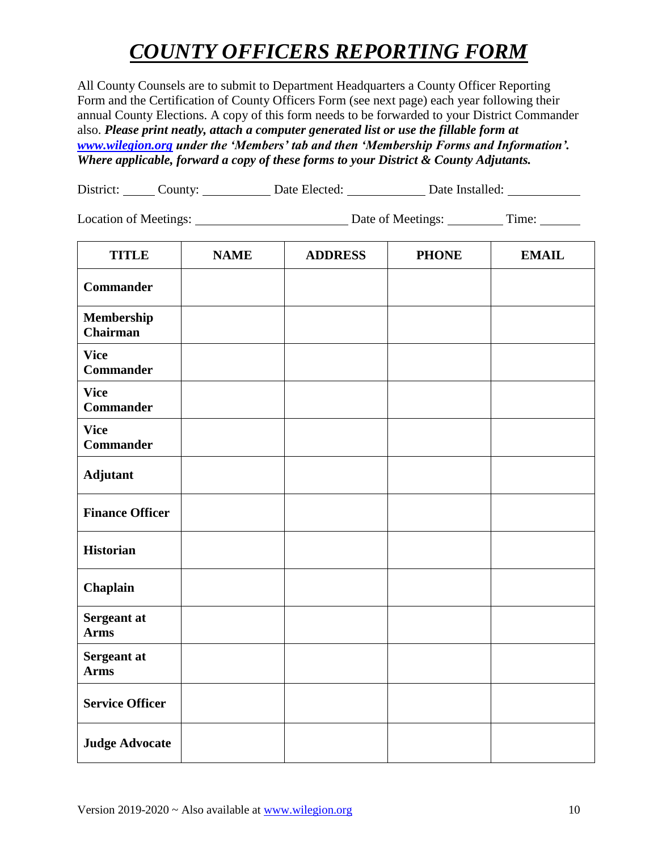### *COUNTY OFFICERS REPORTING FORM*

All County Counsels are to submit to Department Headquarters a County Officer Reporting Form and the Certification of County Officers Form (see next page) each year following their annual County Elections. A copy of this form needs to be forwarded to your District Commander also. *Please print neatly, attach a computer generated list or use the fillable form at [www.wilegion.org](http://www.wilegion.org/) under the 'Members' tab and then 'Membership Forms and Information'. Where applicable, forward a copy of these forms to your District & County Adjutants.*

|  | District: | .'ountv: | Date Elected: | Date Installed: |  |
|--|-----------|----------|---------------|-----------------|--|
|--|-----------|----------|---------------|-----------------|--|

Location of Meetings: Date of Meetings: Time:

| <b>TITLE</b>                    | <b>NAME</b> | <b>ADDRESS</b> | <b>PHONE</b> | <b>EMAIL</b> |
|---------------------------------|-------------|----------------|--------------|--------------|
| <b>Commander</b>                |             |                |              |              |
| Membership<br><b>Chairman</b>   |             |                |              |              |
| <b>Vice</b><br><b>Commander</b> |             |                |              |              |
| <b>Vice</b><br><b>Commander</b> |             |                |              |              |
| <b>Vice</b><br><b>Commander</b> |             |                |              |              |
| Adjutant                        |             |                |              |              |
| <b>Finance Officer</b>          |             |                |              |              |
| <b>Historian</b>                |             |                |              |              |
| Chaplain                        |             |                |              |              |
| Sergeant at<br><b>Arms</b>      |             |                |              |              |
| Sergeant at<br><b>Arms</b>      |             |                |              |              |
| <b>Service Officer</b>          |             |                |              |              |
| <b>Judge Advocate</b>           |             |                |              |              |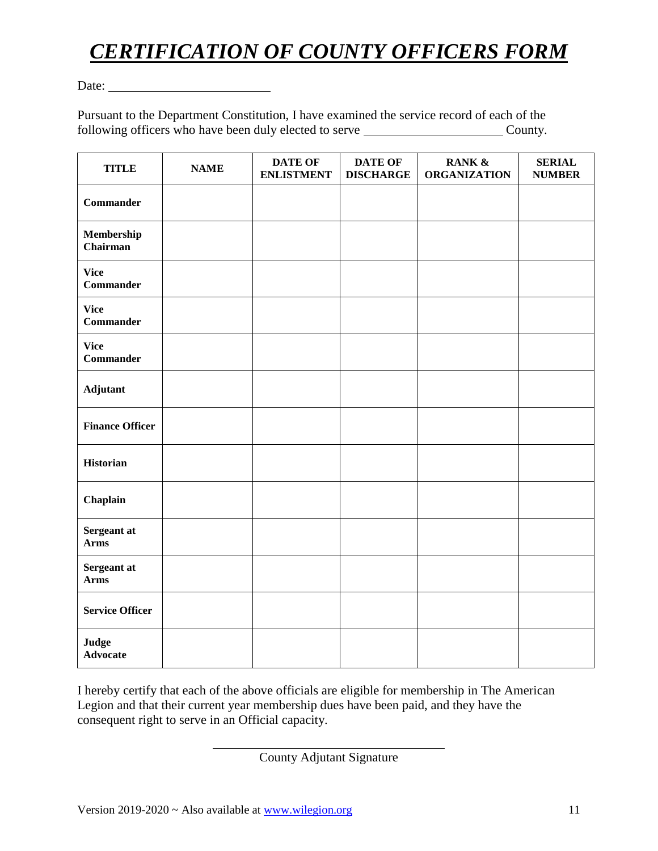# *CERTIFICATION OF COUNTY OFFICERS FORM*

Date:

Pursuant to the Department Constitution, I have examined the service record of each of the following officers who have been duly elected to serve County.

| <b>TITLE</b>                    | <b>NAME</b> | <b>DATE OF</b><br><b>ENLISTMENT</b> | <b>DATE OF</b><br><b>DISCHARGE</b> | RANK &<br><b>ORGANIZATION</b> | <b>SERIAL</b><br><b>NUMBER</b> |
|---------------------------------|-------------|-------------------------------------|------------------------------------|-------------------------------|--------------------------------|
| <b>Commander</b>                |             |                                     |                                    |                               |                                |
| Membership<br>Chairman          |             |                                     |                                    |                               |                                |
| <b>Vice</b><br><b>Commander</b> |             |                                     |                                    |                               |                                |
| <b>Vice</b><br><b>Commander</b> |             |                                     |                                    |                               |                                |
| <b>Vice</b><br><b>Commander</b> |             |                                     |                                    |                               |                                |
| Adjutant                        |             |                                     |                                    |                               |                                |
| <b>Finance Officer</b>          |             |                                     |                                    |                               |                                |
| <b>Historian</b>                |             |                                     |                                    |                               |                                |
| Chaplain                        |             |                                     |                                    |                               |                                |
| Sergeant at<br><b>Arms</b>      |             |                                     |                                    |                               |                                |
| Sergeant at<br><b>Arms</b>      |             |                                     |                                    |                               |                                |
| <b>Service Officer</b>          |             |                                     |                                    |                               |                                |
| Judge<br><b>Advocate</b>        |             |                                     |                                    |                               |                                |

I hereby certify that each of the above officials are eligible for membership in The American Legion and that their current year membership dues have been paid, and they have the consequent right to serve in an Official capacity.

County Adjutant Signature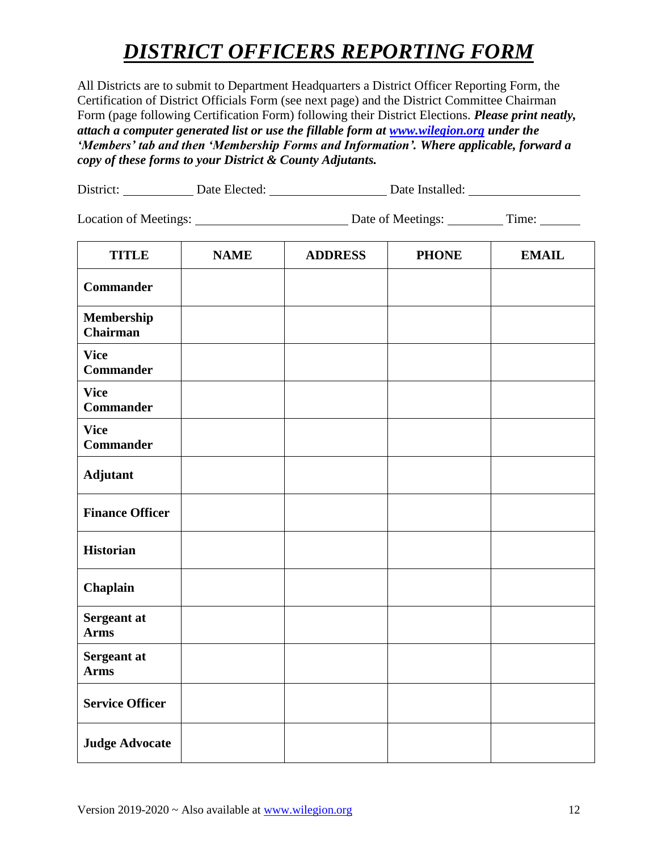## *DISTRICT OFFICERS REPORTING FORM*

All Districts are to submit to Department Headquarters a District Officer Reporting Form, the Certification of District Officials Form (see next page) and the District Committee Chairman Form (page following Certification Form) following their District Elections. *Please print neatly, attach a computer generated list or use the fillable form at [www.wilegion.org](http://www.wilegion.org/) under the 'Members' tab and then 'Membership Forms and Information'. Where applicable, forward a copy of these forms to your District & County Adjutants.*

| District: | Date Elected: | Date Installed: |  |
|-----------|---------------|-----------------|--|
|           |               |                 |  |

Location of Meetings: Date of Meetings: Time:

| <b>TITLE</b>                    | <b>NAME</b> | <b>ADDRESS</b> | <b>PHONE</b> | <b>EMAIL</b> |
|---------------------------------|-------------|----------------|--------------|--------------|
| <b>Commander</b>                |             |                |              |              |
| Membership<br><b>Chairman</b>   |             |                |              |              |
| <b>Vice</b><br><b>Commander</b> |             |                |              |              |
| <b>Vice</b><br><b>Commander</b> |             |                |              |              |
| <b>Vice</b><br><b>Commander</b> |             |                |              |              |
| Adjutant                        |             |                |              |              |
| <b>Finance Officer</b>          |             |                |              |              |
| <b>Historian</b>                |             |                |              |              |
| Chaplain                        |             |                |              |              |
| Sergeant at<br><b>Arms</b>      |             |                |              |              |
| Sergeant at<br><b>Arms</b>      |             |                |              |              |
| <b>Service Officer</b>          |             |                |              |              |
| <b>Judge Advocate</b>           |             |                |              |              |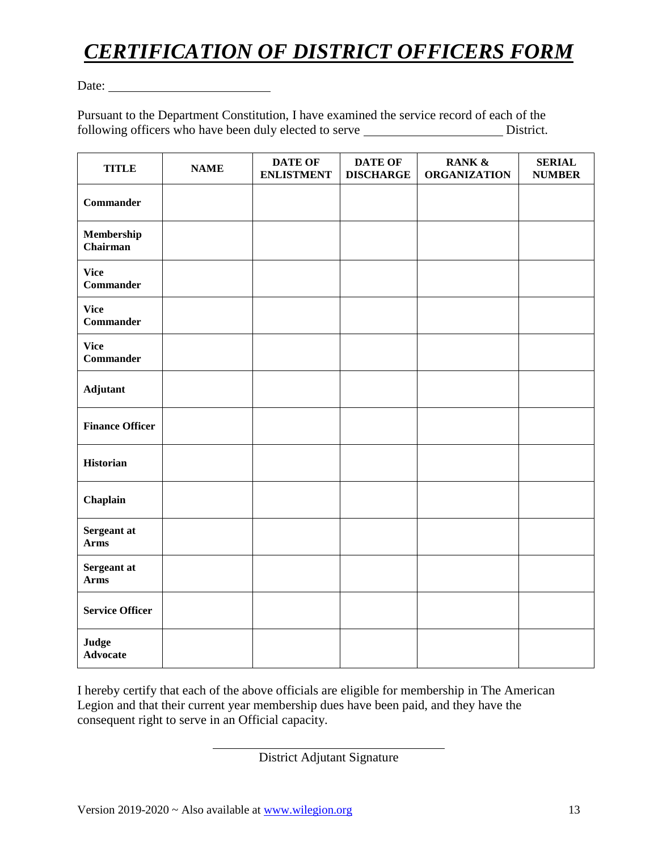# *CERTIFICATION OF DISTRICT OFFICERS FORM*

Date:

Pursuant to the Department Constitution, I have examined the service record of each of the following officers who have been duly elected to serve \_\_\_\_\_\_\_\_\_\_\_\_\_\_\_\_\_\_\_\_\_\_\_\_\_\_District.

| <b>TITLE</b>                    | <b>NAME</b> | <b>DATE OF</b><br><b>ENLISTMENT</b> | DATE OF<br><b>DISCHARGE</b> | RANK &<br><b>ORGANIZATION</b> | <b>SERIAL</b><br><b>NUMBER</b> |
|---------------------------------|-------------|-------------------------------------|-----------------------------|-------------------------------|--------------------------------|
| <b>Commander</b>                |             |                                     |                             |                               |                                |
| Membership<br>Chairman          |             |                                     |                             |                               |                                |
| <b>Vice</b><br><b>Commander</b> |             |                                     |                             |                               |                                |
| <b>Vice</b><br><b>Commander</b> |             |                                     |                             |                               |                                |
| <b>Vice</b><br><b>Commander</b> |             |                                     |                             |                               |                                |
| Adjutant                        |             |                                     |                             |                               |                                |
| <b>Finance Officer</b>          |             |                                     |                             |                               |                                |
| <b>Historian</b>                |             |                                     |                             |                               |                                |
| Chaplain                        |             |                                     |                             |                               |                                |
| Sergeant at<br><b>Arms</b>      |             |                                     |                             |                               |                                |
| Sergeant at<br><b>Arms</b>      |             |                                     |                             |                               |                                |
| <b>Service Officer</b>          |             |                                     |                             |                               |                                |
| Judge<br><b>Advocate</b>        |             |                                     |                             |                               |                                |

I hereby certify that each of the above officials are eligible for membership in The American Legion and that their current year membership dues have been paid, and they have the consequent right to serve in an Official capacity.

District Adjutant Signature